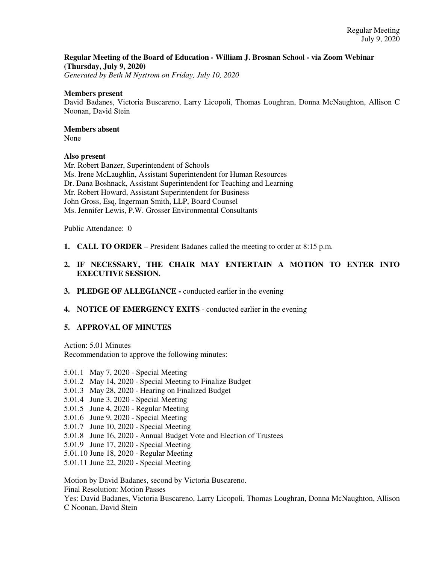## **Regular Meeting of the Board of Education - William J. Brosnan School - via Zoom Webinar (Thursday, July 9, 2020)**

*Generated by Beth M Nystrom on Friday, July 10, 2020*

### **Members present**

David Badanes, Victoria Buscareno, Larry Licopoli, Thomas Loughran, Donna McNaughton, Allison C Noonan, David Stein

## **Members absent**

None

### **Also present**

Mr. Robert Banzer, Superintendent of Schools Ms. Irene McLaughlin, Assistant Superintendent for Human Resources Dr. Dana Boshnack, Assistant Superintendent for Teaching and Learning Mr. Robert Howard, Assistant Superintendent for Business John Gross, Esq, Ingerman Smith, LLP, Board Counsel Ms. Jennifer Lewis, P.W. Grosser Environmental Consultants

Public Attendance: 0

- **1. CALL TO ORDER** President Badanes called the meeting to order at 8:15 p.m.
- **2. IF NECESSARY, THE CHAIR MAY ENTERTAIN A MOTION TO ENTER INTO EXECUTIVE SESSION.**
- **3. PLEDGE OF ALLEGIANCE** conducted earlier in the evening
- **4. NOTICE OF EMERGENCY EXITS**  conducted earlier in the evening

#### **5. APPROVAL OF MINUTES**

Action: 5.01 Minutes Recommendation to approve the following minutes:

5.01.1 May 7, 2020 - Special Meeting 5.01.2 May 14, 2020 - Special Meeting to Finalize Budget 5.01.3 May 28, 2020 - Hearing on Finalized Budget 5.01.4 June 3, 2020 - Special Meeting 5.01.5 June 4, 2020 - Regular Meeting 5.01.6 June 9, 2020 - Special Meeting 5.01.7 June 10, 2020 - Special Meeting 5.01.8 June 16, 2020 - Annual Budget Vote and Election of Trustees 5.01.9 June 17, 2020 - Special Meeting 5.01.10 June 18, 2020 - Regular Meeting 5.01.11 June 22, 2020 - Special Meeting

Motion by David Badanes, second by Victoria Buscareno. Final Resolution: Motion Passes Yes: David Badanes, Victoria Buscareno, Larry Licopoli, Thomas Loughran, Donna McNaughton, Allison C Noonan, David Stein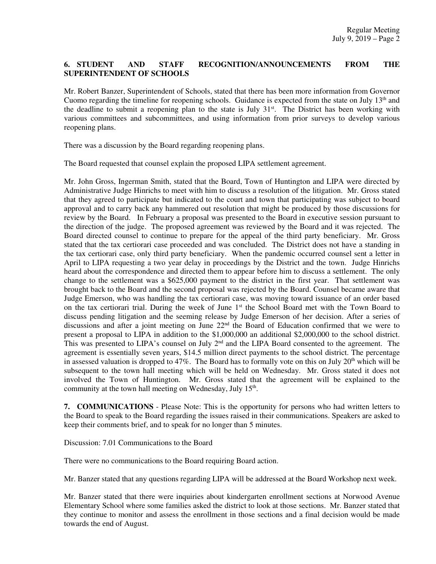# **6. STUDENT AND STAFF RECOGNITION/ANNOUNCEMENTS FROM THE SUPERINTENDENT OF SCHOOLS**

Mr. Robert Banzer, Superintendent of Schools, stated that there has been more information from Governor Cuomo regarding the timeline for reopening schools. Guidance is expected from the state on July  $13<sup>th</sup>$  and the deadline to submit a reopening plan to the state is July 31<sup>st</sup>. The District has been working with various committees and subcommittees, and using information from prior surveys to develop various reopening plans.

There was a discussion by the Board regarding reopening plans.

The Board requested that counsel explain the proposed LIPA settlement agreement.

Mr. John Gross, Ingerman Smith, stated that the Board, Town of Huntington and LIPA were directed by Administrative Judge Hinrichs to meet with him to discuss a resolution of the litigation. Mr. Gross stated that they agreed to participate but indicated to the court and town that participating was subject to board approval and to carry back any hammered out resolution that might be produced by those discussions for review by the Board. In February a proposal was presented to the Board in executive session pursuant to the direction of the judge. The proposed agreement was reviewed by the Board and it was rejected. The Board directed counsel to continue to prepare for the appeal of the third party beneficiary. Mr. Gross stated that the tax certiorari case proceeded and was concluded. The District does not have a standing in the tax certiorari case, only third party beneficiary. When the pandemic occurred counsel sent a letter in April to LIPA requesting a two year delay in proceedings by the District and the town. Judge Hinrichs heard about the correspondence and directed them to appear before him to discuss a settlement. The only change to the settlement was a \$625,000 payment to the district in the first year. That settlement was brought back to the Board and the second proposal was rejected by the Board. Counsel became aware that Judge Emerson, who was handling the tax certiorari case, was moving toward issuance of an order based on the tax certiorari trial. During the week of June 1<sup>st</sup> the School Board met with the Town Board to discuss pending litigation and the seeming release by Judge Emerson of her decision. After a series of discussions and after a joint meeting on June 22<sup>nd</sup> the Board of Education confirmed that we were to present a proposal to LIPA in addition to the \$1,000,000 an additional \$2,000,000 to the school district. This was presented to LIPA's counsel on July 2<sup>nd</sup> and the LIPA Board consented to the agreement. The agreement is essentially seven years, \$14.5 million direct payments to the school district. The percentage in assessed valuation is dropped to 47%. The Board has to formally vote on this on July  $20<sup>th</sup>$  which will be subsequent to the town hall meeting which will be held on Wednesday. Mr. Gross stated it does not involved the Town of Huntington. Mr. Gross stated that the agreement will be explained to the community at the town hall meeting on Wednesday, July 15<sup>th</sup>.

**7. COMMUNICATIONS** - Please Note: This is the opportunity for persons who had written letters to the Board to speak to the Board regarding the issues raised in their communications. Speakers are asked to keep their comments brief, and to speak for no longer than 5 minutes.

## Discussion: 7.01 Communications to the Board

There were no communications to the Board requiring Board action.

Mr. Banzer stated that any questions regarding LIPA will be addressed at the Board Workshop next week.

Mr. Banzer stated that there were inquiries about kindergarten enrollment sections at Norwood Avenue Elementary School where some families asked the district to look at those sections. Mr. Banzer stated that they continue to monitor and assess the enrollment in those sections and a final decision would be made towards the end of August.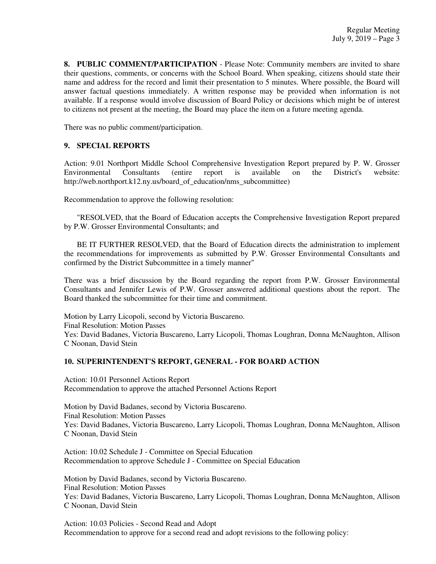**8. PUBLIC COMMENT/PARTICIPATION** - Please Note: Community members are invited to share their questions, comments, or concerns with the School Board. When speaking, citizens should state their name and address for the record and limit their presentation to 5 minutes. Where possible, the Board will answer factual questions immediately. A written response may be provided when information is not available. If a response would involve discussion of Board Policy or decisions which might be of interest to citizens not present at the meeting, the Board may place the item on a future meeting agenda.

There was no public comment/participation.

## **9. SPECIAL REPORTS**

Action: 9.01 Northport Middle School Comprehensive Investigation Report prepared by P. W. Grosser Environmental Consultants (entire report is available on the District's website: http://web.northport.k12.ny.us/board of education/nms subcommittee)

Recommendation to approve the following resolution:

 "RESOLVED, that the Board of Education accepts the Comprehensive Investigation Report prepared by P.W. Grosser Environmental Consultants; and

 BE IT FURTHER RESOLVED, that the Board of Education directs the administration to implement the recommendations for improvements as submitted by P.W. Grosser Environmental Consultants and confirmed by the District Subcommittee in a timely manner"

There was a brief discussion by the Board regarding the report from P.W. Grosser Environmental Consultants and Jennifer Lewis of P.W. Grosser answered additional questions about the report. The Board thanked the subcommittee for their time and commitment.

Motion by Larry Licopoli, second by Victoria Buscareno. Final Resolution: Motion Passes Yes: David Badanes, Victoria Buscareno, Larry Licopoli, Thomas Loughran, Donna McNaughton, Allison C Noonan, David Stein

# **10. SUPERINTENDENT'S REPORT, GENERAL - FOR BOARD ACTION**

Action: 10.01 Personnel Actions Report Recommendation to approve the attached Personnel Actions Report

Motion by David Badanes, second by Victoria Buscareno. Final Resolution: Motion Passes Yes: David Badanes, Victoria Buscareno, Larry Licopoli, Thomas Loughran, Donna McNaughton, Allison C Noonan, David Stein

Action: 10.02 Schedule J - Committee on Special Education Recommendation to approve Schedule J - Committee on Special Education

Motion by David Badanes, second by Victoria Buscareno. Final Resolution: Motion Passes Yes: David Badanes, Victoria Buscareno, Larry Licopoli, Thomas Loughran, Donna McNaughton, Allison C Noonan, David Stein

Action: 10.03 Policies - Second Read and Adopt Recommendation to approve for a second read and adopt revisions to the following policy: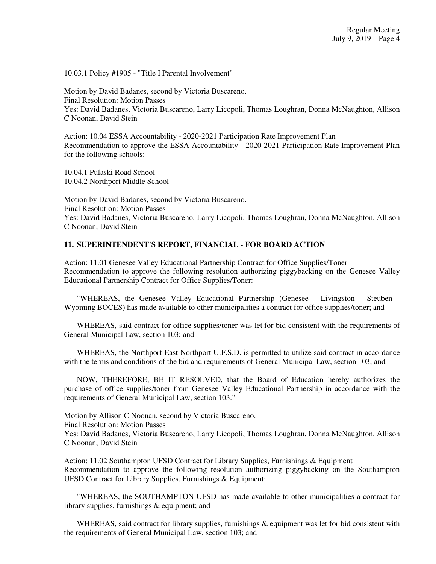10.03.1 Policy #1905 - "Title I Parental Involvement"

Motion by David Badanes, second by Victoria Buscareno. Final Resolution: Motion Passes Yes: David Badanes, Victoria Buscareno, Larry Licopoli, Thomas Loughran, Donna McNaughton, Allison C Noonan, David Stein

Action: 10.04 ESSA Accountability - 2020-2021 Participation Rate Improvement Plan Recommendation to approve the ESSA Accountability - 2020-2021 Participation Rate Improvement Plan for the following schools:

10.04.1 Pulaski Road School 10.04.2 Northport Middle School

Motion by David Badanes, second by Victoria Buscareno. Final Resolution: Motion Passes Yes: David Badanes, Victoria Buscareno, Larry Licopoli, Thomas Loughran, Donna McNaughton, Allison C Noonan, David Stein

## **11. SUPERINTENDENT'S REPORT, FINANCIAL - FOR BOARD ACTION**

Action: 11.01 Genesee Valley Educational Partnership Contract for Office Supplies/Toner Recommendation to approve the following resolution authorizing piggybacking on the Genesee Valley Educational Partnership Contract for Office Supplies/Toner:

 "WHEREAS, the Genesee Valley Educational Partnership (Genesee - Livingston - Steuben - Wyoming BOCES) has made available to other municipalities a contract for office supplies/toner; and

 WHEREAS, said contract for office supplies/toner was let for bid consistent with the requirements of General Municipal Law, section 103; and

 WHEREAS, the Northport-East Northport U.F.S.D. is permitted to utilize said contract in accordance with the terms and conditions of the bid and requirements of General Municipal Law, section 103; and

 NOW, THEREFORE, BE IT RESOLVED, that the Board of Education hereby authorizes the purchase of office supplies/toner from Genesee Valley Educational Partnership in accordance with the requirements of General Municipal Law, section 103."

Motion by Allison C Noonan, second by Victoria Buscareno. Final Resolution: Motion Passes Yes: David Badanes, Victoria Buscareno, Larry Licopoli, Thomas Loughran, Donna McNaughton, Allison C Noonan, David Stein

Action: 11.02 Southampton UFSD Contract for Library Supplies, Furnishings & Equipment Recommendation to approve the following resolution authorizing piggybacking on the Southampton UFSD Contract for Library Supplies, Furnishings & Equipment:

 "WHEREAS, the SOUTHAMPTON UFSD has made available to other municipalities a contract for library supplies, furnishings & equipment; and

WHEREAS, said contract for library supplies, furnishings  $\&$  equipment was let for bid consistent with the requirements of General Municipal Law, section 103; and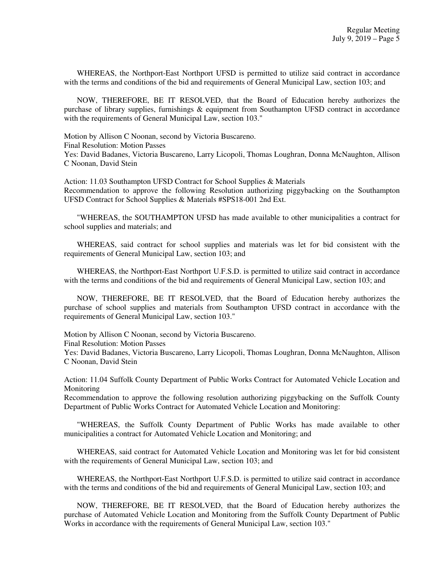WHEREAS, the Northport-East Northport UFSD is permitted to utilize said contract in accordance with the terms and conditions of the bid and requirements of General Municipal Law, section 103; and

 NOW, THEREFORE, BE IT RESOLVED, that the Board of Education hereby authorizes the purchase of library supplies, furnishings & equipment from Southampton UFSD contract in accordance with the requirements of General Municipal Law, section 103."

Motion by Allison C Noonan, second by Victoria Buscareno. Final Resolution: Motion Passes Yes: David Badanes, Victoria Buscareno, Larry Licopoli, Thomas Loughran, Donna McNaughton, Allison C Noonan, David Stein

Action: 11.03 Southampton UFSD Contract for School Supplies & Materials Recommendation to approve the following Resolution authorizing piggybacking on the Southampton UFSD Contract for School Supplies & Materials #SPS18-001 2nd Ext.

 "WHEREAS, the SOUTHAMPTON UFSD has made available to other municipalities a contract for school supplies and materials; and

 WHEREAS, said contract for school supplies and materials was let for bid consistent with the requirements of General Municipal Law, section 103; and

 WHEREAS, the Northport-East Northport U.F.S.D. is permitted to utilize said contract in accordance with the terms and conditions of the bid and requirements of General Municipal Law, section 103; and

 NOW, THEREFORE, BE IT RESOLVED, that the Board of Education hereby authorizes the purchase of school supplies and materials from Southampton UFSD contract in accordance with the requirements of General Municipal Law, section 103."

Motion by Allison C Noonan, second by Victoria Buscareno.

Final Resolution: Motion Passes

Yes: David Badanes, Victoria Buscareno, Larry Licopoli, Thomas Loughran, Donna McNaughton, Allison C Noonan, David Stein

Action: 11.04 Suffolk County Department of Public Works Contract for Automated Vehicle Location and Monitoring

Recommendation to approve the following resolution authorizing piggybacking on the Suffolk County Department of Public Works Contract for Automated Vehicle Location and Monitoring:

 "WHEREAS, the Suffolk County Department of Public Works has made available to other municipalities a contract for Automated Vehicle Location and Monitoring; and

 WHEREAS, said contract for Automated Vehicle Location and Monitoring was let for bid consistent with the requirements of General Municipal Law, section 103; and

 WHEREAS, the Northport-East Northport U.F.S.D. is permitted to utilize said contract in accordance with the terms and conditions of the bid and requirements of General Municipal Law, section 103; and

 NOW, THEREFORE, BE IT RESOLVED, that the Board of Education hereby authorizes the purchase of Automated Vehicle Location and Monitoring from the Suffolk County Department of Public Works in accordance with the requirements of General Municipal Law, section 103."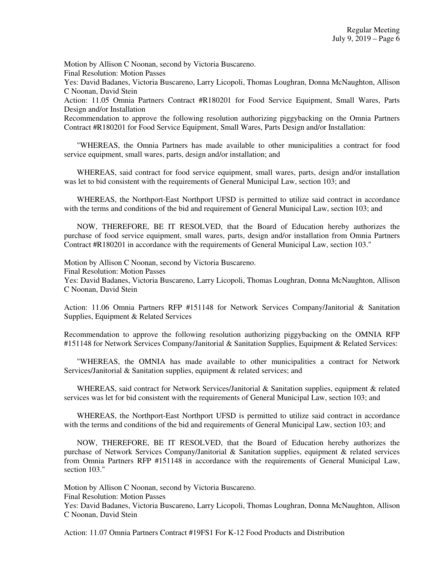Motion by Allison C Noonan, second by Victoria Buscareno.

Final Resolution: Motion Passes

Yes: David Badanes, Victoria Buscareno, Larry Licopoli, Thomas Loughran, Donna McNaughton, Allison C Noonan, David Stein

Action: 11.05 Omnia Partners Contract #R180201 for Food Service Equipment, Small Wares, Parts Design and/or Installation

Recommendation to approve the following resolution authorizing piggybacking on the Omnia Partners Contract #R180201 for Food Service Equipment, Small Wares, Parts Design and/or Installation:

 "WHEREAS, the Omnia Partners has made available to other municipalities a contract for food service equipment, small wares, parts, design and/or installation; and

 WHEREAS, said contract for food service equipment, small wares, parts, design and/or installation was let to bid consistent with the requirements of General Municipal Law, section 103; and

 WHEREAS, the Northport-East Northport UFSD is permitted to utilize said contract in accordance with the terms and conditions of the bid and requirement of General Municipal Law, section 103; and

 NOW, THEREFORE, BE IT RESOLVED, that the Board of Education hereby authorizes the purchase of food service equipment, small wares, parts, design and/or installation from Omnia Partners Contract #R180201 in accordance with the requirements of General Municipal Law, section 103."

Motion by Allison C Noonan, second by Victoria Buscareno.

Final Resolution: Motion Passes

Yes: David Badanes, Victoria Buscareno, Larry Licopoli, Thomas Loughran, Donna McNaughton, Allison C Noonan, David Stein

Action: 11.06 Omnia Partners RFP #151148 for Network Services Company/Janitorial & Sanitation Supplies, Equipment & Related Services

Recommendation to approve the following resolution authorizing piggybacking on the OMNIA RFP #151148 for Network Services Company/Janitorial & Sanitation Supplies, Equipment & Related Services:

 "WHEREAS, the OMNIA has made available to other municipalities a contract for Network Services/Janitorial & Sanitation supplies, equipment & related services; and

WHEREAS, said contract for Network Services/Janitorial & Sanitation supplies, equipment & related services was let for bid consistent with the requirements of General Municipal Law, section 103; and

 WHEREAS, the Northport-East Northport UFSD is permitted to utilize said contract in accordance with the terms and conditions of the bid and requirements of General Municipal Law, section 103; and

 NOW, THEREFORE, BE IT RESOLVED, that the Board of Education hereby authorizes the purchase of Network Services Company/Janitorial & Sanitation supplies, equipment & related services from Omnia Partners RFP #151148 in accordance with the requirements of General Municipal Law, section 103."

Motion by Allison C Noonan, second by Victoria Buscareno.

Final Resolution: Motion Passes

Yes: David Badanes, Victoria Buscareno, Larry Licopoli, Thomas Loughran, Donna McNaughton, Allison C Noonan, David Stein

Action: 11.07 Omnia Partners Contract #19FS1 For K-12 Food Products and Distribution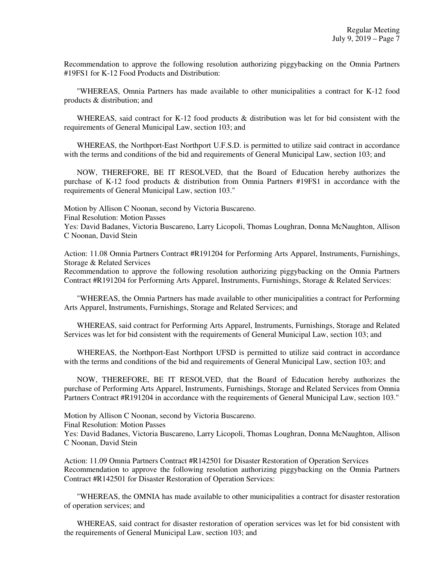Recommendation to approve the following resolution authorizing piggybacking on the Omnia Partners #19FS1 for K-12 Food Products and Distribution:

 "WHEREAS, Omnia Partners has made available to other municipalities a contract for K-12 food products & distribution; and

WHEREAS, said contract for K-12 food products & distribution was let for bid consistent with the requirements of General Municipal Law, section 103; and

 WHEREAS, the Northport-East Northport U.F.S.D. is permitted to utilize said contract in accordance with the terms and conditions of the bid and requirements of General Municipal Law, section 103; and

 NOW, THEREFORE, BE IT RESOLVED, that the Board of Education hereby authorizes the purchase of K-12 food products & distribution from Omnia Partners #19FS1 in accordance with the requirements of General Municipal Law, section 103."

Motion by Allison C Noonan, second by Victoria Buscareno. Final Resolution: Motion Passes

Yes: David Badanes, Victoria Buscareno, Larry Licopoli, Thomas Loughran, Donna McNaughton, Allison C Noonan, David Stein

Action: 11.08 Omnia Partners Contract #R191204 for Performing Arts Apparel, Instruments, Furnishings, Storage & Related Services

Recommendation to approve the following resolution authorizing piggybacking on the Omnia Partners Contract #R191204 for Performing Arts Apparel, Instruments, Furnishings, Storage & Related Services:

 "WHEREAS, the Omnia Partners has made available to other municipalities a contract for Performing Arts Apparel, Instruments, Furnishings, Storage and Related Services; and

 WHEREAS, said contract for Performing Arts Apparel, Instruments, Furnishings, Storage and Related Services was let for bid consistent with the requirements of General Municipal Law, section 103; and

 WHEREAS, the Northport-East Northport UFSD is permitted to utilize said contract in accordance with the terms and conditions of the bid and requirements of General Municipal Law, section 103; and

 NOW, THEREFORE, BE IT RESOLVED, that the Board of Education hereby authorizes the purchase of Performing Arts Apparel, Instruments, Furnishings, Storage and Related Services from Omnia Partners Contract #R191204 in accordance with the requirements of General Municipal Law, section 103."

Motion by Allison C Noonan, second by Victoria Buscareno.

Final Resolution: Motion Passes

Yes: David Badanes, Victoria Buscareno, Larry Licopoli, Thomas Loughran, Donna McNaughton, Allison C Noonan, David Stein

Action: 11.09 Omnia Partners Contract #R142501 for Disaster Restoration of Operation Services Recommendation to approve the following resolution authorizing piggybacking on the Omnia Partners Contract #R142501 for Disaster Restoration of Operation Services:

 "WHEREAS, the OMNIA has made available to other municipalities a contract for disaster restoration of operation services; and

 WHEREAS, said contract for disaster restoration of operation services was let for bid consistent with the requirements of General Municipal Law, section 103; and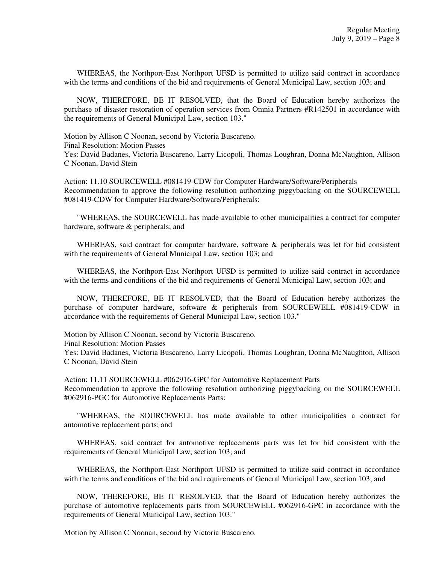WHEREAS, the Northport-East Northport UFSD is permitted to utilize said contract in accordance with the terms and conditions of the bid and requirements of General Municipal Law, section 103; and

 NOW, THEREFORE, BE IT RESOLVED, that the Board of Education hereby authorizes the purchase of disaster restoration of operation services from Omnia Partners #R142501 in accordance with the requirements of General Municipal Law, section 103."

Motion by Allison C Noonan, second by Victoria Buscareno. Final Resolution: Motion Passes Yes: David Badanes, Victoria Buscareno, Larry Licopoli, Thomas Loughran, Donna McNaughton, Allison C Noonan, David Stein

Action: 11.10 SOURCEWELL #081419-CDW for Computer Hardware/Software/Peripherals Recommendation to approve the following resolution authorizing piggybacking on the SOURCEWELL #081419-CDW for Computer Hardware/Software/Peripherals:

 "WHEREAS, the SOURCEWELL has made available to other municipalities a contract for computer hardware, software & peripherals; and

WHEREAS, said contract for computer hardware, software & peripherals was let for bid consistent with the requirements of General Municipal Law, section 103; and

 WHEREAS, the Northport-East Northport UFSD is permitted to utilize said contract in accordance with the terms and conditions of the bid and requirements of General Municipal Law, section 103; and

 NOW, THEREFORE, BE IT RESOLVED, that the Board of Education hereby authorizes the purchase of computer hardware, software & peripherals from SOURCEWELL #081419-CDW in accordance with the requirements of General Municipal Law, section 103."

Motion by Allison C Noonan, second by Victoria Buscareno.

Final Resolution: Motion Passes

Yes: David Badanes, Victoria Buscareno, Larry Licopoli, Thomas Loughran, Donna McNaughton, Allison C Noonan, David Stein

Action: 11.11 SOURCEWELL #062916-GPC for Automotive Replacement Parts Recommendation to approve the following resolution authorizing piggybacking on the SOURCEWELL #062916-PGC for Automotive Replacements Parts:

 "WHEREAS, the SOURCEWELL has made available to other municipalities a contract for automotive replacement parts; and

 WHEREAS, said contract for automotive replacements parts was let for bid consistent with the requirements of General Municipal Law, section 103; and

 WHEREAS, the Northport-East Northport UFSD is permitted to utilize said contract in accordance with the terms and conditions of the bid and requirements of General Municipal Law, section 103; and

 NOW, THEREFORE, BE IT RESOLVED, that the Board of Education hereby authorizes the purchase of automotive replacements parts from SOURCEWELL #062916-GPC in accordance with the requirements of General Municipal Law, section 103."

Motion by Allison C Noonan, second by Victoria Buscareno.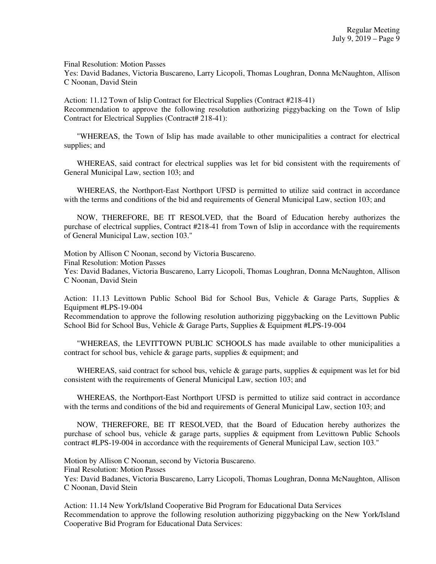Final Resolution: Motion Passes

Yes: David Badanes, Victoria Buscareno, Larry Licopoli, Thomas Loughran, Donna McNaughton, Allison C Noonan, David Stein

Action: 11.12 Town of Islip Contract for Electrical Supplies (Contract #218-41) Recommendation to approve the following resolution authorizing piggybacking on the Town of Islip Contract for Electrical Supplies (Contract# 218-41):

 "WHEREAS, the Town of Islip has made available to other municipalities a contract for electrical supplies; and

 WHEREAS, said contract for electrical supplies was let for bid consistent with the requirements of General Municipal Law, section 103; and

 WHEREAS, the Northport-East Northport UFSD is permitted to utilize said contract in accordance with the terms and conditions of the bid and requirements of General Municipal Law, section 103; and

 NOW, THEREFORE, BE IT RESOLVED, that the Board of Education hereby authorizes the purchase of electrical supplies, Contract #218-41 from Town of Islip in accordance with the requirements of General Municipal Law, section 103."

Motion by Allison C Noonan, second by Victoria Buscareno. Final Resolution: Motion Passes Yes: David Badanes, Victoria Buscareno, Larry Licopoli, Thomas Loughran, Donna McNaughton, Allison C Noonan, David Stein

Action: 11.13 Levittown Public School Bid for School Bus, Vehicle & Garage Parts, Supplies & Equipment #LPS-19-004

Recommendation to approve the following resolution authorizing piggybacking on the Levittown Public School Bid for School Bus, Vehicle & Garage Parts, Supplies & Equipment #LPS-19-004

 "WHEREAS, the LEVITTOWN PUBLIC SCHOOLS has made available to other municipalities a contract for school bus, vehicle  $\&$  garage parts, supplies  $\&$  equipment; and

WHEREAS, said contract for school bus, vehicle  $\&$  garage parts, supplies  $\&$  equipment was let for bid consistent with the requirements of General Municipal Law, section 103; and

 WHEREAS, the Northport-East Northport UFSD is permitted to utilize said contract in accordance with the terms and conditions of the bid and requirements of General Municipal Law, section 103; and

 NOW, THEREFORE, BE IT RESOLVED, that the Board of Education hereby authorizes the purchase of school bus, vehicle  $\&$  garage parts, supplies  $\&$  equipment from Levittown Public Schools contract #LPS-19-004 in accordance with the requirements of General Municipal Law, section 103."

Motion by Allison C Noonan, second by Victoria Buscareno.

Final Resolution: Motion Passes

Yes: David Badanes, Victoria Buscareno, Larry Licopoli, Thomas Loughran, Donna McNaughton, Allison C Noonan, David Stein

Action: 11.14 New York/Island Cooperative Bid Program for Educational Data Services Recommendation to approve the following resolution authorizing piggybacking on the New York/Island Cooperative Bid Program for Educational Data Services: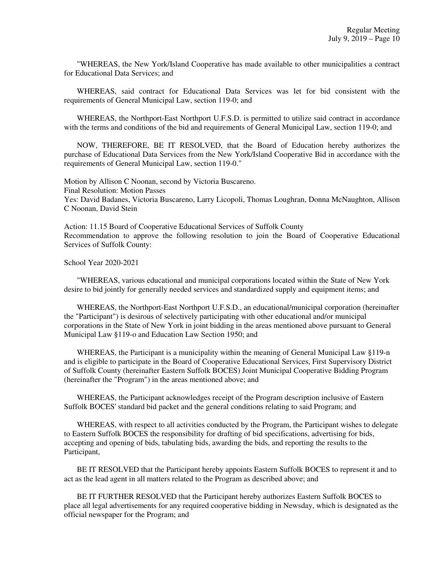"WHEREAS, the New York/Island Cooperative has made available to other municipalities a contract for Educational Data Services; and

 WHEREAS, said contract for Educational Data Services was let for bid consistent with the requirements of General Municipal Law, section 119-0; and

 WHEREAS, the Northport-East Northport U.F.S.D. is permitted to utilize said contract in accordance with the terms and conditions of the bid and requirements of General Municipal Law, section 119-0; and

 NOW, THEREFORE, BE IT RESOLVED, that the Board of Education hereby authorizes the purchase of Educational Data Services from the New York/Island Cooperative Bid in accordance with the requirements of General Municipal Law, section 119-0."

Motion by Allison C Noonan, second by Victoria Buscareno. Final Resolution: Motion Passes Yes: David Badanes, Victoria Buscareno, Larry Licopoli, Thomas Loughran, Donna McNaughton, Allison C Noonan, David Stein

Action: 11.15 Board of Cooperative Educational Services of Suffolk County Recommendation to approve the following resolution to join the Board of Cooperative Educational Services of Suffolk County:

School Year 2020-2021

 "WHEREAS, various educational and municipal corporations located within the State of New York desire to bid jointly for generally needed services and standardized supply and equipment items; and

 WHEREAS, the Northport-East Northport U.F.S.D., an educational/municipal corporation (hereinafter the "Participant") is desirous of selectively participating with other educational and/or municipal corporations in the State of New York in joint bidding in the areas mentioned above pursuant to General Municipal Law §119-o and Education Law Section 1950; and

 WHEREAS, the Participant is a municipality within the meaning of General Municipal Law §119-n and is eligible to participate in the Board of Cooperative Educational Services, First Supervisory District of Suffolk County (hereinafter Eastern Suffolk BOCES) Joint Municipal Cooperative Bidding Program (hereinafter the "Program") in the areas mentioned above; and

 WHEREAS, the Participant acknowledges receipt of the Program description inclusive of Eastern Suffolk BOCES' standard bid packet and the general conditions relating to said Program; and

 WHEREAS, with respect to all activities conducted by the Program, the Participant wishes to delegate to Eastern Suffolk BOCES the responsibility for drafting of bid specifications, advertising for bids, accepting and opening of bids, tabulating bids, awarding the bids, and reporting the results to the Participant,

 BE IT RESOLVED that the Participant hereby appoints Eastern Suffolk BOCES to represent it and to act as the lead agent in all matters related to the Program as described above; and

 BE IT FURTHER RESOLVED that the Participant hereby authorizes Eastern Suffolk BOCES to place all legal advertisements for any required cooperative bidding in Newsday, which is designated as the official newspaper for the Program; and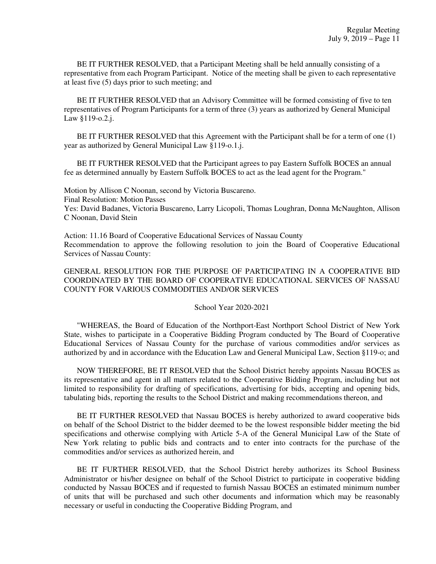BE IT FURTHER RESOLVED, that a Participant Meeting shall be held annually consisting of a representative from each Program Participant. Notice of the meeting shall be given to each representative at least five (5) days prior to such meeting; and

 BE IT FURTHER RESOLVED that an Advisory Committee will be formed consisting of five to ten representatives of Program Participants for a term of three (3) years as authorized by General Municipal Law §119-o.2.j.

 BE IT FURTHER RESOLVED that this Agreement with the Participant shall be for a term of one (1) year as authorized by General Municipal Law §119-o.1.j.

 BE IT FURTHER RESOLVED that the Participant agrees to pay Eastern Suffolk BOCES an annual fee as determined annually by Eastern Suffolk BOCES to act as the lead agent for the Program."

Motion by Allison C Noonan, second by Victoria Buscareno. Final Resolution: Motion Passes Yes: David Badanes, Victoria Buscareno, Larry Licopoli, Thomas Loughran, Donna McNaughton, Allison C Noonan, David Stein

Action: 11.16 Board of Cooperative Educational Services of Nassau County Recommendation to approve the following resolution to join the Board of Cooperative Educational Services of Nassau County:

GENERAL RESOLUTION FOR THE PURPOSE OF PARTICIPATING IN A COOPERATIVE BID COORDINATED BY THE BOARD OF COOPERATIVE EDUCATIONAL SERVICES OF NASSAU COUNTY FOR VARIOUS COMMODITIES AND/OR SERVICES

School Year 2020-2021

 "WHEREAS, the Board of Education of the Northport-East Northport School District of New York State, wishes to participate in a Cooperative Bidding Program conducted by The Board of Cooperative Educational Services of Nassau County for the purchase of various commodities and/or services as authorized by and in accordance with the Education Law and General Municipal Law, Section §119-o; and

 NOW THEREFORE, BE IT RESOLVED that the School District hereby appoints Nassau BOCES as its representative and agent in all matters related to the Cooperative Bidding Program, including but not limited to responsibility for drafting of specifications, advertising for bids, accepting and opening bids, tabulating bids, reporting the results to the School District and making recommendations thereon, and

 BE IT FURTHER RESOLVED that Nassau BOCES is hereby authorized to award cooperative bids on behalf of the School District to the bidder deemed to be the lowest responsible bidder meeting the bid specifications and otherwise complying with Article 5-A of the General Municipal Law of the State of New York relating to public bids and contracts and to enter into contracts for the purchase of the commodities and/or services as authorized herein, and

 BE IT FURTHER RESOLVED, that the School District hereby authorizes its School Business Administrator or his/her designee on behalf of the School District to participate in cooperative bidding conducted by Nassau BOCES and if requested to furnish Nassau BOCES an estimated minimum number of units that will be purchased and such other documents and information which may be reasonably necessary or useful in conducting the Cooperative Bidding Program, and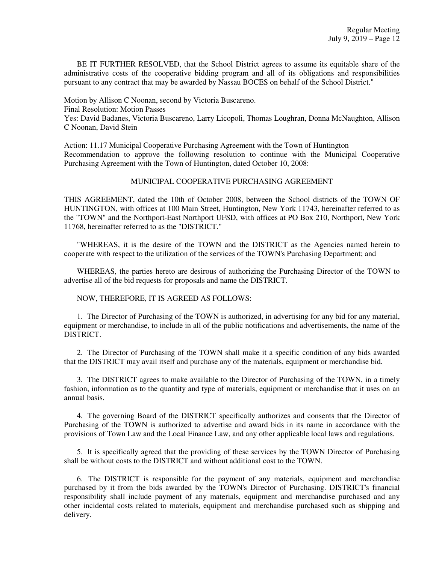BE IT FURTHER RESOLVED, that the School District agrees to assume its equitable share of the administrative costs of the cooperative bidding program and all of its obligations and responsibilities pursuant to any contract that may be awarded by Nassau BOCES on behalf of the School District."

Motion by Allison C Noonan, second by Victoria Buscareno. Final Resolution: Motion Passes Yes: David Badanes, Victoria Buscareno, Larry Licopoli, Thomas Loughran, Donna McNaughton, Allison C Noonan, David Stein

Action: 11.17 Municipal Cooperative Purchasing Agreement with the Town of Huntington Recommendation to approve the following resolution to continue with the Municipal Cooperative Purchasing Agreement with the Town of Huntington, dated October 10, 2008:

### MUNICIPAL COOPERATIVE PURCHASING AGREEMENT

THIS AGREEMENT, dated the 10th of October 2008, between the School districts of the TOWN OF HUNTINGTON, with offices at 100 Main Street, Huntington, New York 11743, hereinafter referred to as the "TOWN" and the Northport-East Northport UFSD, with offices at PO Box 210, Northport, New York 11768, hereinafter referred to as the "DISTRICT."

 "WHEREAS, it is the desire of the TOWN and the DISTRICT as the Agencies named herein to cooperate with respect to the utilization of the services of the TOWN's Purchasing Department; and

 WHEREAS, the parties hereto are desirous of authorizing the Purchasing Director of the TOWN to advertise all of the bid requests for proposals and name the DISTRICT.

NOW, THEREFORE, IT IS AGREED AS FOLLOWS:

 1. The Director of Purchasing of the TOWN is authorized, in advertising for any bid for any material, equipment or merchandise, to include in all of the public notifications and advertisements, the name of the DISTRICT.

 2. The Director of Purchasing of the TOWN shall make it a specific condition of any bids awarded that the DISTRICT may avail itself and purchase any of the materials, equipment or merchandise bid.

 3. The DISTRICT agrees to make available to the Director of Purchasing of the TOWN, in a timely fashion, information as to the quantity and type of materials, equipment or merchandise that it uses on an annual basis.

 4. The governing Board of the DISTRICT specifically authorizes and consents that the Director of Purchasing of the TOWN is authorized to advertise and award bids in its name in accordance with the provisions of Town Law and the Local Finance Law, and any other applicable local laws and regulations.

 5. It is specifically agreed that the providing of these services by the TOWN Director of Purchasing shall be without costs to the DISTRICT and without additional cost to the TOWN.

 6. The DISTRICT is responsible for the payment of any materials, equipment and merchandise purchased by it from the bids awarded by the TOWN's Director of Purchasing. DISTRICT's financial responsibility shall include payment of any materials, equipment and merchandise purchased and any other incidental costs related to materials, equipment and merchandise purchased such as shipping and delivery.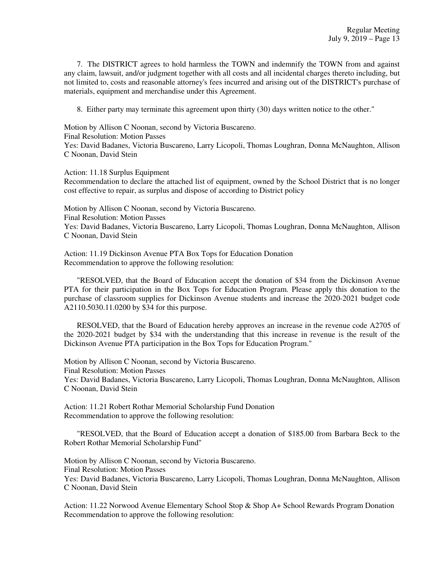7. The DISTRICT agrees to hold harmless the TOWN and indemnify the TOWN from and against any claim, lawsuit, and/or judgment together with all costs and all incidental charges thereto including, but not limited to, costs and reasonable attorney's fees incurred and arising out of the DISTRICT's purchase of materials, equipment and merchandise under this Agreement.

8. Either party may terminate this agreement upon thirty (30) days written notice to the other."

Motion by Allison C Noonan, second by Victoria Buscareno. Final Resolution: Motion Passes Yes: David Badanes, Victoria Buscareno, Larry Licopoli, Thomas Loughran, Donna McNaughton, Allison C Noonan, David Stein

Action: 11.18 Surplus Equipment

Recommendation to declare the attached list of equipment, owned by the School District that is no longer cost effective to repair, as surplus and dispose of according to District policy

Motion by Allison C Noonan, second by Victoria Buscareno. Final Resolution: Motion Passes Yes: David Badanes, Victoria Buscareno, Larry Licopoli, Thomas Loughran, Donna McNaughton, Allison C Noonan, David Stein

Action: 11.19 Dickinson Avenue PTA Box Tops for Education Donation Recommendation to approve the following resolution:

 "RESOLVED, that the Board of Education accept the donation of \$34 from the Dickinson Avenue PTA for their participation in the Box Tops for Education Program. Please apply this donation to the purchase of classroom supplies for Dickinson Avenue students and increase the 2020-2021 budget code A2110.5030.11.0200 by \$34 for this purpose.

 RESOLVED, that the Board of Education hereby approves an increase in the revenue code A2705 of the 2020-2021 budget by \$34 with the understanding that this increase in revenue is the result of the Dickinson Avenue PTA participation in the Box Tops for Education Program."

Motion by Allison C Noonan, second by Victoria Buscareno. Final Resolution: Motion Passes Yes: David Badanes, Victoria Buscareno, Larry Licopoli, Thomas Loughran, Donna McNaughton, Allison C Noonan, David Stein

Action: 11.21 Robert Rothar Memorial Scholarship Fund Donation Recommendation to approve the following resolution:

 "RESOLVED, that the Board of Education accept a donation of \$185.00 from Barbara Beck to the Robert Rothar Memorial Scholarship Fund"

Motion by Allison C Noonan, second by Victoria Buscareno. Final Resolution: Motion Passes Yes: David Badanes, Victoria Buscareno, Larry Licopoli, Thomas Loughran, Donna McNaughton, Allison C Noonan, David Stein

Action: 11.22 Norwood Avenue Elementary School Stop & Shop A+ School Rewards Program Donation Recommendation to approve the following resolution: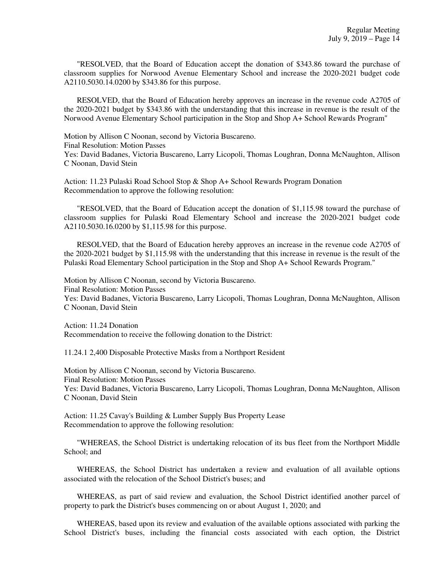"RESOLVED, that the Board of Education accept the donation of \$343.86 toward the purchase of classroom supplies for Norwood Avenue Elementary School and increase the 2020-2021 budget code A2110.5030.14.0200 by \$343.86 for this purpose.

 RESOLVED, that the Board of Education hereby approves an increase in the revenue code A2705 of the 2020-2021 budget by \$343.86 with the understanding that this increase in revenue is the result of the Norwood Avenue Elementary School participation in the Stop and Shop A+ School Rewards Program"

Motion by Allison C Noonan, second by Victoria Buscareno. Final Resolution: Motion Passes Yes: David Badanes, Victoria Buscareno, Larry Licopoli, Thomas Loughran, Donna McNaughton, Allison C Noonan, David Stein

Action: 11.23 Pulaski Road School Stop & Shop A+ School Rewards Program Donation Recommendation to approve the following resolution:

 "RESOLVED, that the Board of Education accept the donation of \$1,115.98 toward the purchase of classroom supplies for Pulaski Road Elementary School and increase the 2020-2021 budget code A2110.5030.16.0200 by \$1,115.98 for this purpose.

 RESOLVED, that the Board of Education hereby approves an increase in the revenue code A2705 of the 2020-2021 budget by \$1,115.98 with the understanding that this increase in revenue is the result of the Pulaski Road Elementary School participation in the Stop and Shop A+ School Rewards Program."

Motion by Allison C Noonan, second by Victoria Buscareno. Final Resolution: Motion Passes Yes: David Badanes, Victoria Buscareno, Larry Licopoli, Thomas Loughran, Donna McNaughton, Allison C Noonan, David Stein

Action: 11.24 Donation Recommendation to receive the following donation to the District:

11.24.1 2,400 Disposable Protective Masks from a Northport Resident

Motion by Allison C Noonan, second by Victoria Buscareno. Final Resolution: Motion Passes Yes: David Badanes, Victoria Buscareno, Larry Licopoli, Thomas Loughran, Donna McNaughton, Allison C Noonan, David Stein

Action: 11.25 Cavay's Building & Lumber Supply Bus Property Lease Recommendation to approve the following resolution:

 "WHEREAS, the School District is undertaking relocation of its bus fleet from the Northport Middle School: and

 WHEREAS, the School District has undertaken a review and evaluation of all available options associated with the relocation of the School District's buses; and

 WHEREAS, as part of said review and evaluation, the School District identified another parcel of property to park the District's buses commencing on or about August 1, 2020; and

 WHEREAS, based upon its review and evaluation of the available options associated with parking the School District's buses, including the financial costs associated with each option, the District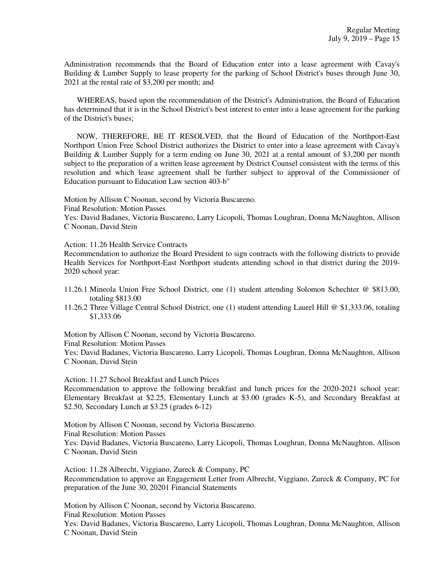Administration recommends that the Board of Education enter into a lease agreement with Cavay's Building & Lumber Supply to lease property for the parking of School District's buses through June 30, 2021 at the rental rate of \$3,200 per month; and

 WHEREAS, based upon the recommendation of the District's Administration, the Board of Education has determined that it is in the School District's best interest to enter into a lease agreement for the parking of the District's buses;

 NOW, THEREFORE, BE IT RESOLVED, that the Board of Education of the Northport-East Northport Union Free School District authorizes the District to enter into a lease agreement with Cavay's Building & Lumber Supply for a term ending on June 30, 2021 at a rental amount of \$3,200 per month subject to the preparation of a written lease agreement by District Counsel consistent with the terms of this resolution and which lease agreement shall be further subject to approval of the Commissioner of Education pursuant to Education Law section 403-b"

Motion by Allison C Noonan, second by Victoria Buscareno.

Final Resolution: Motion Passes

Yes: David Badanes, Victoria Buscareno, Larry Licopoli, Thomas Loughran, Donna McNaughton, Allison C Noonan, David Stein

Action: 11.26 Health Service Contracts

Recommendation to authorize the Board President to sign contracts with the following districts to provide Health Services for Northport-East Northport students attending school in that district during the 2019- 2020 school year:

- 11.26.1 Mineola Union Free School District, one (1) student attending Solomon Schechter @ \$813.00, totaling \$813.00
- 11.26.2 Three Village Central School District, one (1) student attending Laurel Hill @ \$1,333.06, totaling \$1,333.06

Motion by Allison C Noonan, second by Victoria Buscareno.

Final Resolution: Motion Passes

Yes: David Badanes, Victoria Buscareno, Larry Licopoli, Thomas Loughran, Donna McNaughton, Allison C Noonan, David Stein

Action: 11.27 School Breakfast and Lunch Prices

Recommendation to approve the following breakfast and lunch prices for the 2020-2021 school year: Elementary Breakfast at \$2.25, Elementary Lunch at \$3.00 (grades K-5), and Secondary Breakfast at \$2.50, Secondary Lunch at \$3.25 (grades 6-12)

Motion by Allison C Noonan, second by Victoria Buscareno. Final Resolution: Motion Passes Yes: David Badanes, Victoria Buscareno, Larry Licopoli, Thomas Loughran, Donna McNaughton, Allison C Noonan, David Stein

Action: 11.28 Albrecht, Viggiano, Zureck & Company, PC Recommendation to approve an Engagement Letter from Albrecht, Viggiano, Zureck & Company, PC for preparation of the June 30, 20201 Financial Statements

Motion by Allison C Noonan, second by Victoria Buscareno. Final Resolution: Motion Passes

Yes: David Badanes, Victoria Buscareno, Larry Licopoli, Thomas Loughran, Donna McNaughton, Allison C Noonan, David Stein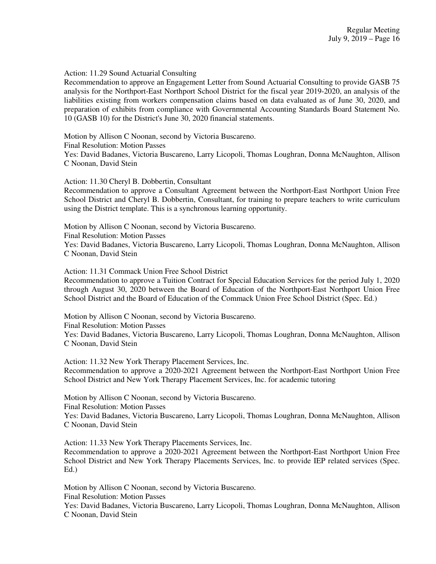### Action: 11.29 Sound Actuarial Consulting

Recommendation to approve an Engagement Letter from Sound Actuarial Consulting to provide GASB 75 analysis for the Northport-East Northport School District for the fiscal year 2019-2020, an analysis of the liabilities existing from workers compensation claims based on data evaluated as of June 30, 2020, and preparation of exhibits from compliance with Governmental Accounting Standards Board Statement No. 10 (GASB 10) for the District's June 30, 2020 financial statements.

Motion by Allison C Noonan, second by Victoria Buscareno. Final Resolution: Motion Passes Yes: David Badanes, Victoria Buscareno, Larry Licopoli, Thomas Loughran, Donna McNaughton, Allison C Noonan, David Stein

Action: 11.30 Cheryl B. Dobbertin, Consultant

Recommendation to approve a Consultant Agreement between the Northport-East Northport Union Free School District and Cheryl B. Dobbertin, Consultant, for training to prepare teachers to write curriculum using the District template. This is a synchronous learning opportunity.

Motion by Allison C Noonan, second by Victoria Buscareno. Final Resolution: Motion Passes Yes: David Badanes, Victoria Buscareno, Larry Licopoli, Thomas Loughran, Donna McNaughton, Allison C Noonan, David Stein

Action: 11.31 Commack Union Free School District

Recommendation to approve a Tuition Contract for Special Education Services for the period July 1, 2020 through August 30, 2020 between the Board of Education of the Northport-East Northport Union Free School District and the Board of Education of the Commack Union Free School District (Spec. Ed.)

Motion by Allison C Noonan, second by Victoria Buscareno.

Final Resolution: Motion Passes

Yes: David Badanes, Victoria Buscareno, Larry Licopoli, Thomas Loughran, Donna McNaughton, Allison C Noonan, David Stein

Action: 11.32 New York Therapy Placement Services, Inc.

Recommendation to approve a 2020-2021 Agreement between the Northport-East Northport Union Free School District and New York Therapy Placement Services, Inc. for academic tutoring

Motion by Allison C Noonan, second by Victoria Buscareno.

Final Resolution: Motion Passes

Yes: David Badanes, Victoria Buscareno, Larry Licopoli, Thomas Loughran, Donna McNaughton, Allison C Noonan, David Stein

Action: 11.33 New York Therapy Placements Services, Inc.

Recommendation to approve a 2020-2021 Agreement between the Northport-East Northport Union Free School District and New York Therapy Placements Services, Inc. to provide IEP related services (Spec. Ed.)

Motion by Allison C Noonan, second by Victoria Buscareno.

Final Resolution: Motion Passes

Yes: David Badanes, Victoria Buscareno, Larry Licopoli, Thomas Loughran, Donna McNaughton, Allison C Noonan, David Stein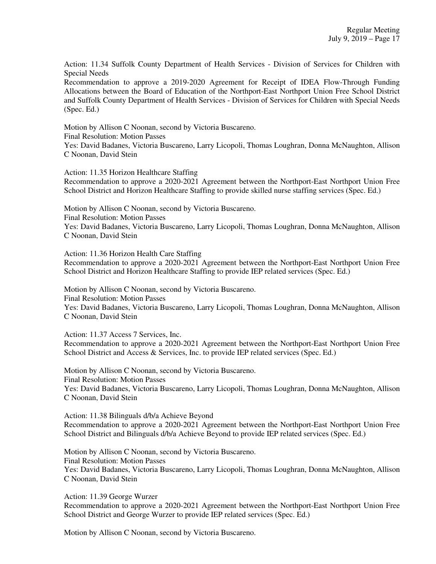Action: 11.34 Suffolk County Department of Health Services - Division of Services for Children with Special Needs

Recommendation to approve a 2019-2020 Agreement for Receipt of IDEA Flow-Through Funding Allocations between the Board of Education of the Northport-East Northport Union Free School District and Suffolk County Department of Health Services - Division of Services for Children with Special Needs (Spec. Ed.)

Motion by Allison C Noonan, second by Victoria Buscareno. Final Resolution: Motion Passes Yes: David Badanes, Victoria Buscareno, Larry Licopoli, Thomas Loughran, Donna McNaughton, Allison C Noonan, David Stein

Action: 11.35 Horizon Healthcare Staffing Recommendation to approve a 2020-2021 Agreement between the Northport-East Northport Union Free School District and Horizon Healthcare Staffing to provide skilled nurse staffing services (Spec. Ed.)

Motion by Allison C Noonan, second by Victoria Buscareno. Final Resolution: Motion Passes Yes: David Badanes, Victoria Buscareno, Larry Licopoli, Thomas Loughran, Donna McNaughton, Allison

C Noonan, David Stein

Action: 11.36 Horizon Health Care Staffing Recommendation to approve a 2020-2021 Agreement between the Northport-East Northport Union Free School District and Horizon Healthcare Staffing to provide IEP related services (Spec. Ed.)

Motion by Allison C Noonan, second by Victoria Buscareno. Final Resolution: Motion Passes Yes: David Badanes, Victoria Buscareno, Larry Licopoli, Thomas Loughran, Donna McNaughton, Allison C Noonan, David Stein

Action: 11.37 Access 7 Services, Inc. Recommendation to approve a 2020-2021 Agreement between the Northport-East Northport Union Free School District and Access & Services, Inc. to provide IEP related services (Spec. Ed.)

Motion by Allison C Noonan, second by Victoria Buscareno. Final Resolution: Motion Passes Yes: David Badanes, Victoria Buscareno, Larry Licopoli, Thomas Loughran, Donna McNaughton, Allison C Noonan, David Stein

Action: 11.38 Bilinguals d/b/a Achieve Beyond Recommendation to approve a 2020-2021 Agreement between the Northport-East Northport Union Free School District and Bilinguals d/b/a Achieve Beyond to provide IEP related services (Spec. Ed.)

Motion by Allison C Noonan, second by Victoria Buscareno. Final Resolution: Motion Passes Yes: David Badanes, Victoria Buscareno, Larry Licopoli, Thomas Loughran, Donna McNaughton, Allison C Noonan, David Stein

Action: 11.39 George Wurzer

Recommendation to approve a 2020-2021 Agreement between the Northport-East Northport Union Free School District and George Wurzer to provide IEP related services (Spec. Ed.)

Motion by Allison C Noonan, second by Victoria Buscareno.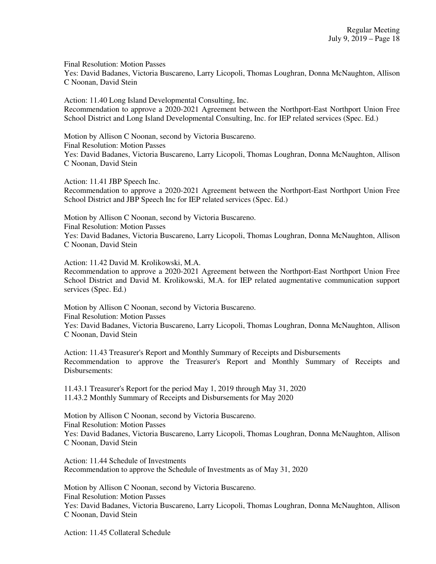Final Resolution: Motion Passes Yes: David Badanes, Victoria Buscareno, Larry Licopoli, Thomas Loughran, Donna McNaughton, Allison C Noonan, David Stein

Action: 11.40 Long Island Developmental Consulting, Inc. Recommendation to approve a 2020-2021 Agreement between the Northport-East Northport Union Free School District and Long Island Developmental Consulting, Inc. for IEP related services (Spec. Ed.)

Motion by Allison C Noonan, second by Victoria Buscareno. Final Resolution: Motion Passes Yes: David Badanes, Victoria Buscareno, Larry Licopoli, Thomas Loughran, Donna McNaughton, Allison C Noonan, David Stein

Action: 11.41 JBP Speech Inc. Recommendation to approve a 2020-2021 Agreement between the Northport-East Northport Union Free School District and JBP Speech Inc for IEP related services (Spec. Ed.)

Motion by Allison C Noonan, second by Victoria Buscareno. Final Resolution: Motion Passes Yes: David Badanes, Victoria Buscareno, Larry Licopoli, Thomas Loughran, Donna McNaughton, Allison C Noonan, David Stein

Action: 11.42 David M. Krolikowski, M.A.

Recommendation to approve a 2020-2021 Agreement between the Northport-East Northport Union Free School District and David M. Krolikowski, M.A. for IEP related augmentative communication support services (Spec. Ed.)

Motion by Allison C Noonan, second by Victoria Buscareno. Final Resolution: Motion Passes Yes: David Badanes, Victoria Buscareno, Larry Licopoli, Thomas Loughran, Donna McNaughton, Allison C Noonan, David Stein

Action: 11.43 Treasurer's Report and Monthly Summary of Receipts and Disbursements Recommendation to approve the Treasurer's Report and Monthly Summary of Receipts and Disbursements:

11.43.1 Treasurer's Report for the period May 1, 2019 through May 31, 2020 11.43.2 Monthly Summary of Receipts and Disbursements for May 2020

Motion by Allison C Noonan, second by Victoria Buscareno. Final Resolution: Motion Passes Yes: David Badanes, Victoria Buscareno, Larry Licopoli, Thomas Loughran, Donna McNaughton, Allison C Noonan, David Stein

Action: 11.44 Schedule of Investments Recommendation to approve the Schedule of Investments as of May 31, 2020

Motion by Allison C Noonan, second by Victoria Buscareno. Final Resolution: Motion Passes Yes: David Badanes, Victoria Buscareno, Larry Licopoli, Thomas Loughran, Donna McNaughton, Allison C Noonan, David Stein

Action: 11.45 Collateral Schedule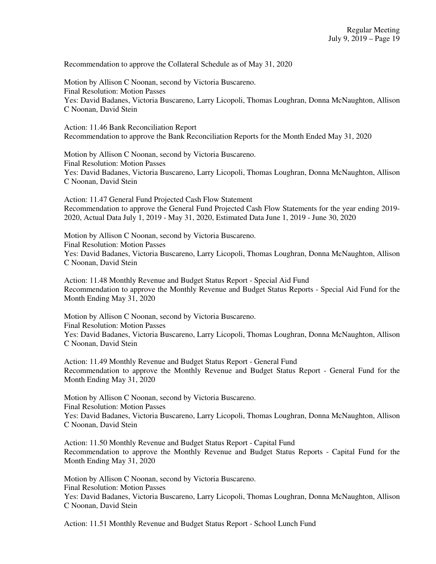Recommendation to approve the Collateral Schedule as of May 31, 2020

Motion by Allison C Noonan, second by Victoria Buscareno. Final Resolution: Motion Passes Yes: David Badanes, Victoria Buscareno, Larry Licopoli, Thomas Loughran, Donna McNaughton, Allison C Noonan, David Stein

Action: 11.46 Bank Reconciliation Report Recommendation to approve the Bank Reconciliation Reports for the Month Ended May 31, 2020

Motion by Allison C Noonan, second by Victoria Buscareno. Final Resolution: Motion Passes Yes: David Badanes, Victoria Buscareno, Larry Licopoli, Thomas Loughran, Donna McNaughton, Allison C Noonan, David Stein

Action: 11.47 General Fund Projected Cash Flow Statement Recommendation to approve the General Fund Projected Cash Flow Statements for the year ending 2019- 2020, Actual Data July 1, 2019 - May 31, 2020, Estimated Data June 1, 2019 - June 30, 2020

Motion by Allison C Noonan, second by Victoria Buscareno. Final Resolution: Motion Passes Yes: David Badanes, Victoria Buscareno, Larry Licopoli, Thomas Loughran, Donna McNaughton, Allison C Noonan, David Stein

Action: 11.48 Monthly Revenue and Budget Status Report - Special Aid Fund Recommendation to approve the Monthly Revenue and Budget Status Reports - Special Aid Fund for the Month Ending May 31, 2020

Motion by Allison C Noonan, second by Victoria Buscareno. Final Resolution: Motion Passes Yes: David Badanes, Victoria Buscareno, Larry Licopoli, Thomas Loughran, Donna McNaughton, Allison C Noonan, David Stein

Action: 11.49 Monthly Revenue and Budget Status Report - General Fund Recommendation to approve the Monthly Revenue and Budget Status Report - General Fund for the Month Ending May 31, 2020

Motion by Allison C Noonan, second by Victoria Buscareno. Final Resolution: Motion Passes Yes: David Badanes, Victoria Buscareno, Larry Licopoli, Thomas Loughran, Donna McNaughton, Allison C Noonan, David Stein

Action: 11.50 Monthly Revenue and Budget Status Report - Capital Fund Recommendation to approve the Monthly Revenue and Budget Status Reports - Capital Fund for the Month Ending May 31, 2020

Motion by Allison C Noonan, second by Victoria Buscareno. Final Resolution: Motion Passes Yes: David Badanes, Victoria Buscareno, Larry Licopoli, Thomas Loughran, Donna McNaughton, Allison C Noonan, David Stein

Action: 11.51 Monthly Revenue and Budget Status Report - School Lunch Fund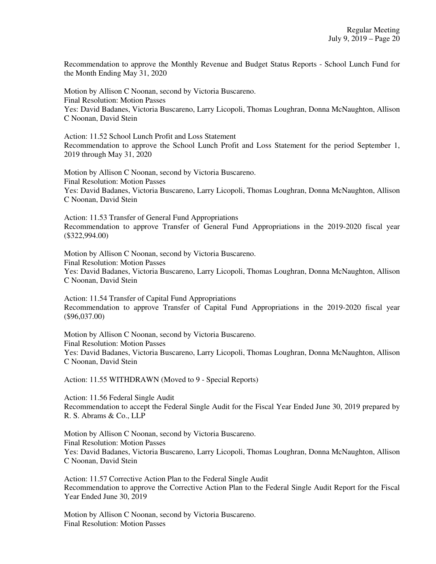Recommendation to approve the Monthly Revenue and Budget Status Reports - School Lunch Fund for the Month Ending May 31, 2020

Motion by Allison C Noonan, second by Victoria Buscareno. Final Resolution: Motion Passes Yes: David Badanes, Victoria Buscareno, Larry Licopoli, Thomas Loughran, Donna McNaughton, Allison C Noonan, David Stein

Action: 11.52 School Lunch Profit and Loss Statement Recommendation to approve the School Lunch Profit and Loss Statement for the period September 1, 2019 through May 31, 2020

Motion by Allison C Noonan, second by Victoria Buscareno. Final Resolution: Motion Passes Yes: David Badanes, Victoria Buscareno, Larry Licopoli, Thomas Loughran, Donna McNaughton, Allison C Noonan, David Stein

Action: 11.53 Transfer of General Fund Appropriations Recommendation to approve Transfer of General Fund Appropriations in the 2019-2020 fiscal year (\$322,994.00)

Motion by Allison C Noonan, second by Victoria Buscareno. Final Resolution: Motion Passes Yes: David Badanes, Victoria Buscareno, Larry Licopoli, Thomas Loughran, Donna McNaughton, Allison C Noonan, David Stein

Action: 11.54 Transfer of Capital Fund Appropriations Recommendation to approve Transfer of Capital Fund Appropriations in the 2019-2020 fiscal year (\$96,037.00)

Motion by Allison C Noonan, second by Victoria Buscareno. Final Resolution: Motion Passes Yes: David Badanes, Victoria Buscareno, Larry Licopoli, Thomas Loughran, Donna McNaughton, Allison C Noonan, David Stein

Action: 11.55 WITHDRAWN (Moved to 9 - Special Reports)

Action: 11.56 Federal Single Audit Recommendation to accept the Federal Single Audit for the Fiscal Year Ended June 30, 2019 prepared by R. S. Abrams & Co., LLP

Motion by Allison C Noonan, second by Victoria Buscareno. Final Resolution: Motion Passes Yes: David Badanes, Victoria Buscareno, Larry Licopoli, Thomas Loughran, Donna McNaughton, Allison C Noonan, David Stein

Action: 11.57 Corrective Action Plan to the Federal Single Audit Recommendation to approve the Corrective Action Plan to the Federal Single Audit Report for the Fiscal Year Ended June 30, 2019

Motion by Allison C Noonan, second by Victoria Buscareno. Final Resolution: Motion Passes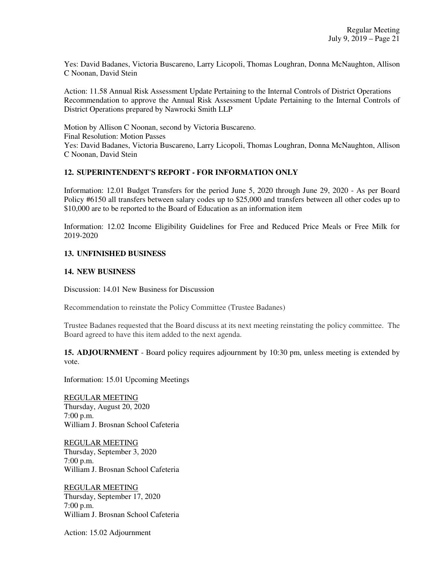Yes: David Badanes, Victoria Buscareno, Larry Licopoli, Thomas Loughran, Donna McNaughton, Allison C Noonan, David Stein

Action: 11.58 Annual Risk Assessment Update Pertaining to the Internal Controls of District Operations Recommendation to approve the Annual Risk Assessment Update Pertaining to the Internal Controls of District Operations prepared by Nawrocki Smith LLP

Motion by Allison C Noonan, second by Victoria Buscareno. Final Resolution: Motion Passes Yes: David Badanes, Victoria Buscareno, Larry Licopoli, Thomas Loughran, Donna McNaughton, Allison C Noonan, David Stein

# **12. SUPERINTENDENT'S REPORT - FOR INFORMATION ONLY**

Information: 12.01 Budget Transfers for the period June 5, 2020 through June 29, 2020 - As per Board Policy #6150 all transfers between salary codes up to \$25,000 and transfers between all other codes up to \$10,000 are to be reported to the Board of Education as an information item

Information: 12.02 Income Eligibility Guidelines for Free and Reduced Price Meals or Free Milk for 2019-2020

## **13. UNFINISHED BUSINESS**

### **14. NEW BUSINESS**

Discussion: 14.01 New Business for Discussion

Recommendation to reinstate the Policy Committee (Trustee Badanes)

Trustee Badanes requested that the Board discuss at its next meeting reinstating the policy committee. The Board agreed to have this item added to the next agenda.

**15. ADJOURNMENT** - Board policy requires adjournment by 10:30 pm, unless meeting is extended by vote.

Information: 15.01 Upcoming Meetings

REGULAR MEETING Thursday, August 20, 2020 7:00 p.m. William J. Brosnan School Cafeteria

REGULAR MEETING Thursday, September 3, 2020 7:00 p.m. William J. Brosnan School Cafeteria

REGULAR MEETING Thursday, September 17, 2020 7:00 p.m. William J. Brosnan School Cafeteria

Action: 15.02 Adjournment